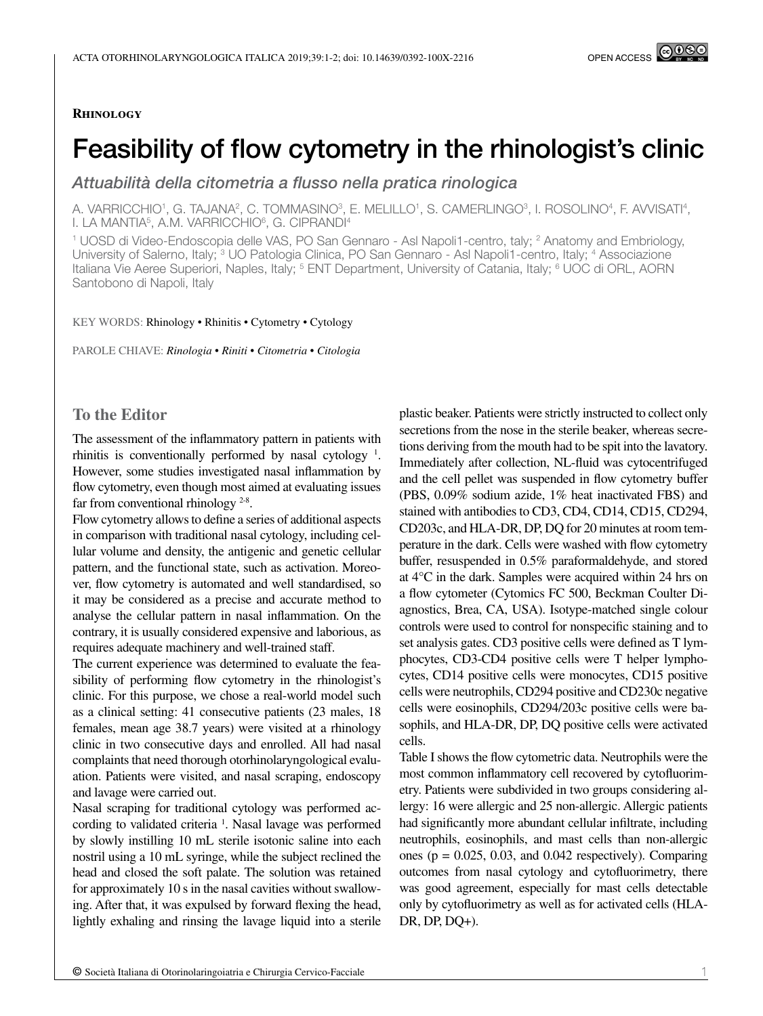#### **Rhinology**

# Feasibility of flow cytometry in the rhinologist's clinic

*Attuabilità della citometria a flusso nella pratica rinologica*

A. VARRICCHIO', G. TAJANA?, C. TOMMASINOº, E. MELILLO', S. CAMERLINGOº, I. ROSOLINOª, F. AVVISATIª, I. LA MANTIA<sup>5</sup>, A.M. VARRICCHIO<sup>6</sup>, G. CIPRANDI<sup>4</sup>

<sup>1</sup> UOSD di Video-Endoscopia delle VAS, PO San Gennaro - Asl Napoli1-centro, taly; <sup>2</sup> Anatomy and Embriology, University of Salerno, Italy; <sup>3</sup> UO Patologia Clinica, PO San Gennaro - Asl Napoli1-centro, Italy; <sup>4</sup> Associazione Italiana Vie Aeree Superiori, Naples, Italy; <sup>5</sup> ENT Department, University of Catania, Italy; <sup>6</sup> UOC di ORL, AORN Santobono di Napoli, Italy

#### KEY WORDS: Rhinology • Rhinitis • Cytometry • Cytology

PAROLE CHIAVE: *Rinologia • Riniti • Citometria • Citologia*

### **To the Editor**

The assessment of the inflammatory pattern in patients with rhinitis is conventionally performed by nasal cytology  $\frac{1}{1}$ . However, some studies investigated nasal inflammation by flow cytometry, even though most aimed at evaluating issues far from conventional rhinology  $2-8$ .

Flow cytometry allows to define a series of additional aspects in comparison with traditional nasal cytology, including cellular volume and density, the antigenic and genetic cellular pattern, and the functional state, such as activation. Moreover, flow cytometry is automated and well standardised, so it may be considered as a precise and accurate method to analyse the cellular pattern in nasal inflammation. On the contrary, it is usually considered expensive and laborious, as requires adequate machinery and well-trained staff.

The current experience was determined to evaluate the feasibility of performing flow cytometry in the rhinologist's clinic. For this purpose, we chose a real-world model such as a clinical setting: 41 consecutive patients (23 males, 18 females, mean age 38.7 years) were visited at a rhinology clinic in two consecutive days and enrolled. All had nasal complaints that need thorough otorhinolaryngological evaluation. Patients were visited, and nasal scraping, endoscopy and lavage were carried out.

Nasal scraping for traditional cytology was performed according to validated criteria<sup>1</sup>. Nasal lavage was performed by slowly instilling 10 mL sterile isotonic saline into each nostril using a 10 mL syringe, while the subject reclined the head and closed the soft palate. The solution was retained for approximately 10 s in the nasal cavities without swallowing. After that, it was expulsed by forward flexing the head, lightly exhaling and rinsing the lavage liquid into a sterile

plastic beaker. Patients were strictly instructed to collect only secretions from the nose in the sterile beaker, whereas secretions deriving from the mouth had to be spit into the lavatory. Immediately after collection, NL-fluid was cytocentrifuged and the cell pellet was suspended in flow cytometry buffer (PBS, 0.09% sodium azide, 1% heat inactivated FBS) and stained with antibodies to CD3, CD4, CD14, CD15, CD294, CD203c, and HLA-DR, DP, DQ for 20 minutes at room temperature in the dark. Cells were washed with flow cytometry buffer, resuspended in 0.5% paraformaldehyde, and stored at 4°C in the dark. Samples were acquired within 24 hrs on a flow cytometer (Cytomics FC 500, Beckman Coulter Diagnostics, Brea, CA, USA). Isotype-matched single colour controls were used to control for nonspecific staining and to set analysis gates. CD3 positive cells were defined as T lymphocytes, CD3-CD4 positive cells were T helper lymphocytes, CD14 positive cells were monocytes, CD15 positive cells were neutrophils, CD294 positive and CD230c negative cells were eosinophils, CD294/203c positive cells were basophils, and HLA-DR, DP, DQ positive cells were activated cells.

Table I shows the flow cytometric data. Neutrophils were the most common inflammatory cell recovered by cytofluorimetry. Patients were subdivided in two groups considering allergy: 16 were allergic and 25 non-allergic. Allergic patients had significantly more abundant cellular infiltrate, including neutrophils, eosinophils, and mast cells than non-allergic ones ( $p = 0.025, 0.03$ , and 0.042 respectively). Comparing outcomes from nasal cytology and cytofluorimetry, there was good agreement, especially for mast cells detectable only by cytofluorimetry as well as for activated cells (HLA-DR, DP, DQ+).